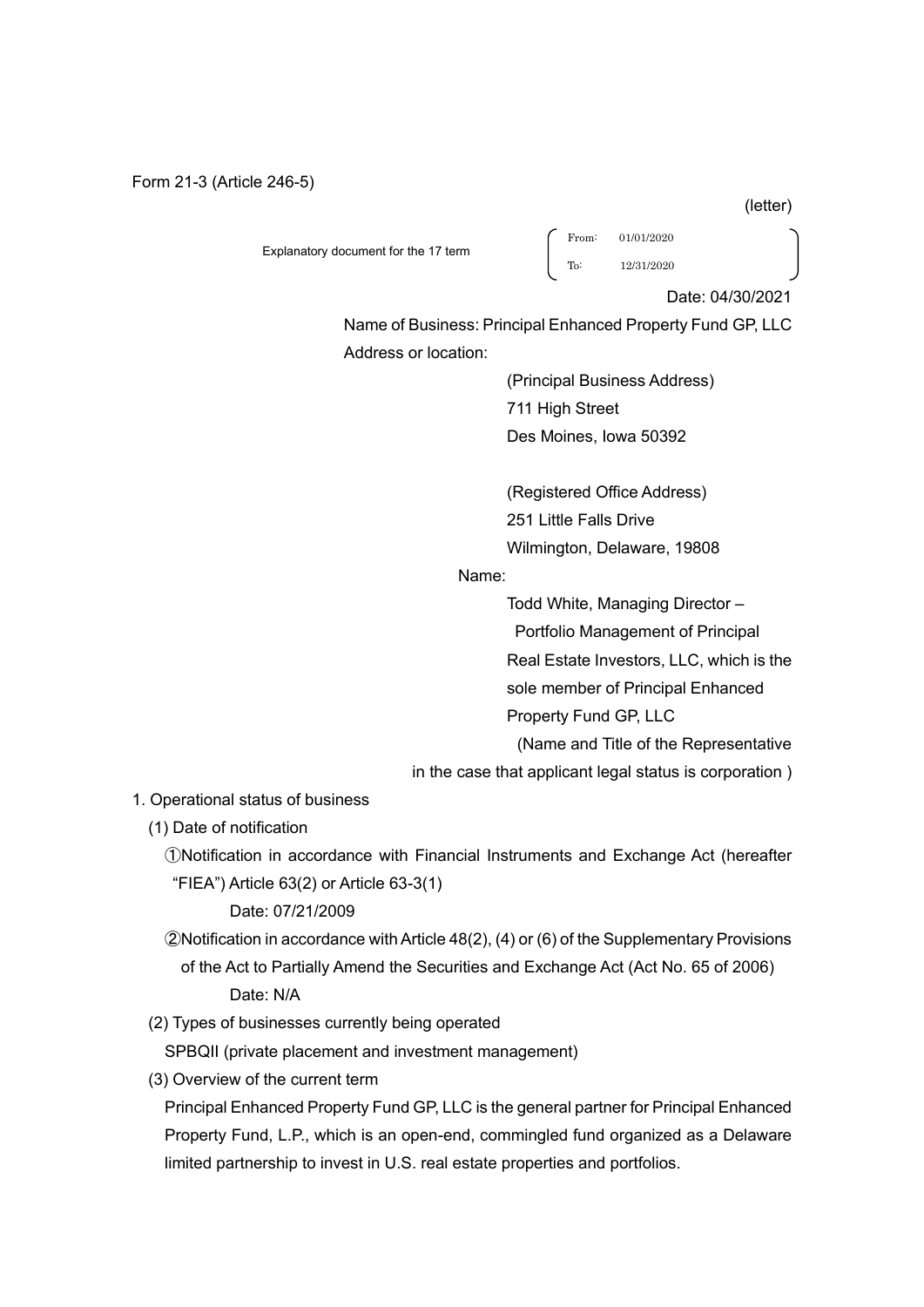Form 21-3 (Article 246-5)

Explanatory document for the 17 term

From: 01/01/2020 To: 12/31/2020

Date: 04/30/2021

 Name of Business: Principal Enhanced Property Fund GP, LLC Address or location:

> (Principal Business Address) 711 High Street Des Moines, Iowa 50392

(Registered Office Address) 251 Little Falls Drive Wilmington, Delaware, 19808

Name:

Todd White, Managing Director –

Portfolio Management of Principal Real Estate Investors, LLC, which is the sole member of Principal Enhanced

Property Fund GP, LLC

(Name and Title of the Representative

in the case that applicant legal status is corporation )

1. Operational status of business

(1) Date of notification

①Notification in accordance with Financial Instruments and Exchange Act (hereafter "FIEA") Article 63(2) or Article 63-3(1)

Date: 07/21/2009

②Notification in accordance with Article 48(2), (4) or (6) of the Supplementary Provisions of the Act to Partially Amend the Securities and Exchange Act (Act No. 65 of 2006) Date: N/A

(2) Types of businesses currently being operated

SPBQII (private placement and investment management)

(3) Overview of the current term

Principal Enhanced Property Fund GP, LLC is the general partner for Principal Enhanced Property Fund, L.P., which is an open-end, commingled fund organized as a Delaware limited partnership to invest in U.S. real estate properties and portfolios.

(letter)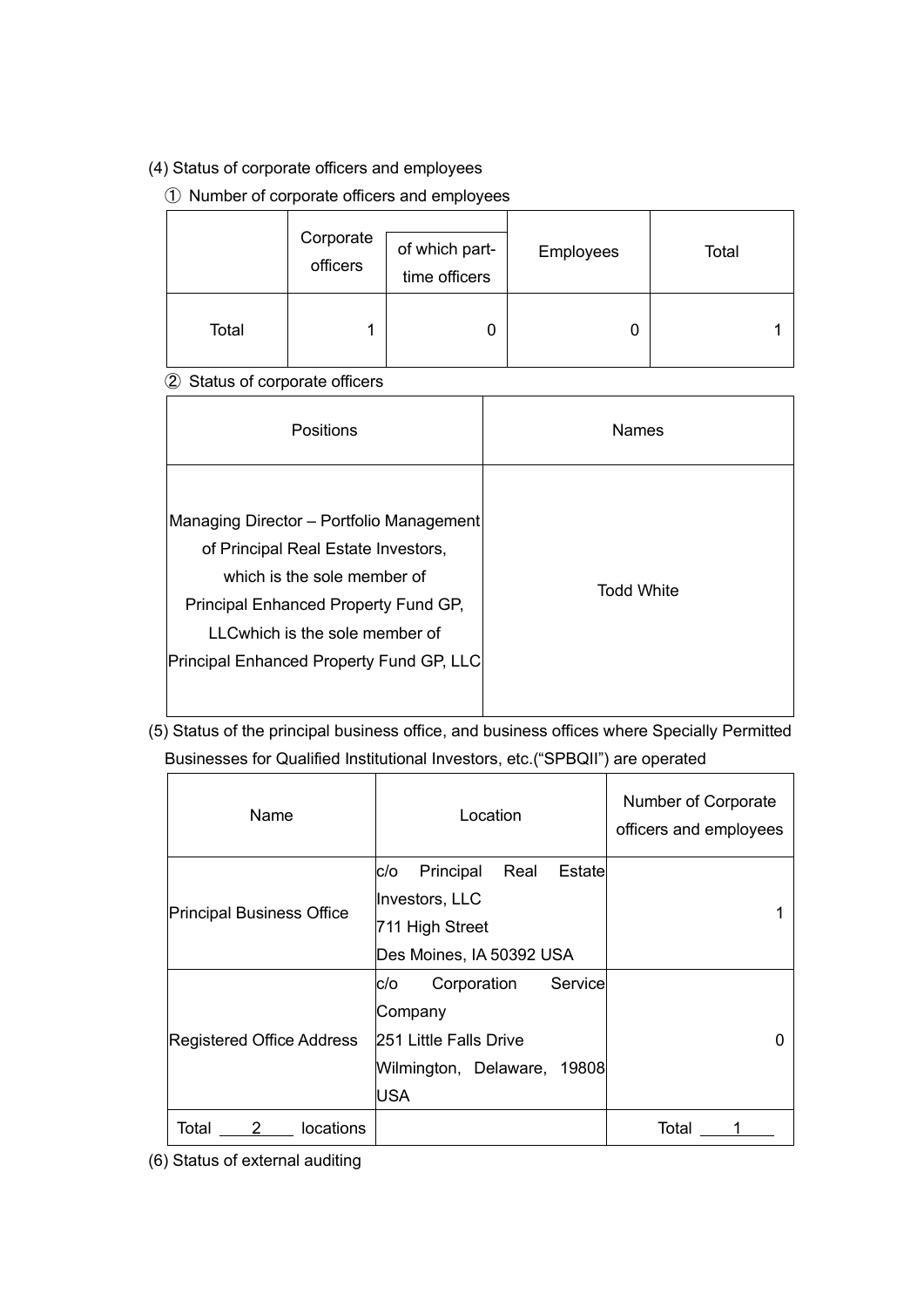## (4) Status of corporate officers and employees

## ① Number of corporate officers and employees

|       | Corporate<br>officers | of which part-<br>time officers | Employees | Total |
|-------|-----------------------|---------------------------------|-----------|-------|
| Total |                       | 0                               |           |       |

## ② Status of corporate officers

| Positions                                                                                                                                                                                                                             | <b>Names</b>      |
|---------------------------------------------------------------------------------------------------------------------------------------------------------------------------------------------------------------------------------------|-------------------|
| Managing Director - Portfolio Management<br>of Principal Real Estate Investors,<br>which is the sole member of<br>Principal Enhanced Property Fund GP,<br>LLC which is the sole member of<br>Principal Enhanced Property Fund GP, LLC | <b>Todd White</b> |

(5) Status of the principal business office, and business offices where Specially Permitted Businesses for Qualified Institutional Investors, etc.("SPBQII") are operated

| Name                                       | Location                            | Number of Corporate<br>officers and employees |
|--------------------------------------------|-------------------------------------|-----------------------------------------------|
|                                            | Real<br>Principal<br>Estatel<br>c/o |                                               |
| <b>Principal Business Office</b>           | Investors, LLC                      |                                               |
|                                            | 711 High Street                     |                                               |
|                                            | Des Moines, IA 50392 USA            |                                               |
|                                            | Service<br>Corporation<br>c/o       |                                               |
|                                            | Company                             |                                               |
| Registered Office Address                  | <b>251 Little Falls Drive</b>       |                                               |
|                                            | Wilmington, Delaware, 19808         |                                               |
|                                            | <b>USA</b>                          |                                               |
| Total<br>locations<br>$\mathbf{2}^{\circ}$ |                                     | Total                                         |

(6) Status of external auditing

 $\Gamma$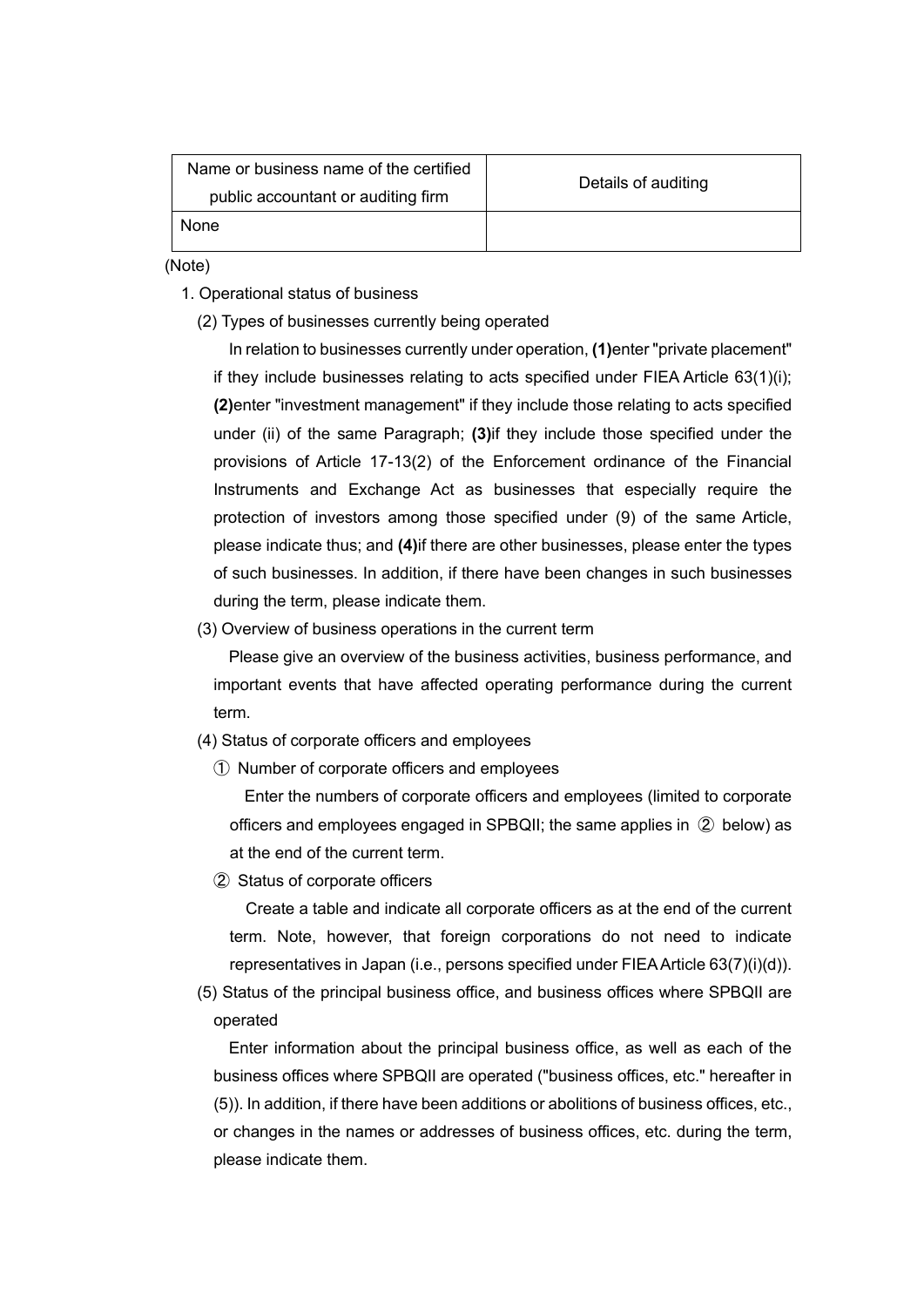| Name or business name of the certified<br>public accountant or auditing firm | Details of auditing |
|------------------------------------------------------------------------------|---------------------|
| None                                                                         |                     |

(Note)

- 1. Operational status of business
	- (2) Types of businesses currently being operated

In relation to businesses currently under operation, **(1)**enter "private placement" if they include businesses relating to acts specified under FIEA Article 63(1)(i); **(2)**enter "investment management" if they include those relating to acts specified under (ii) of the same Paragraph; **(3)**if they include those specified under the provisions of Article 17-13(2) of the Enforcement ordinance of the Financial Instruments and Exchange Act as businesses that especially require the protection of investors among those specified under (9) of the same Article, please indicate thus; and **(4)**if there are other businesses, please enter the types of such businesses. In addition, if there have been changes in such businesses during the term, please indicate them.

(3) Overview of business operations in the current term

Please give an overview of the business activities, business performance, and important events that have affected operating performance during the current term.

- (4) Status of corporate officers and employees
	- ① Number of corporate officers and employees

Enter the numbers of corporate officers and employees (limited to corporate officers and employees engaged in SPBQII; the same applies in ② below) as at the end of the current term.

② Status of corporate officers

Create a table and indicate all corporate officers as at the end of the current term. Note, however, that foreign corporations do not need to indicate representatives in Japan (i.e., persons specified under FIEA Article 63(7)(i)(d)).

(5) Status of the principal business office, and business offices where SPBQII are operated

Enter information about the principal business office, as well as each of the business offices where SPBQII are operated ("business offices, etc." hereafter in (5)). In addition, if there have been additions or abolitions of business offices, etc., or changes in the names or addresses of business offices, etc. during the term, please indicate them.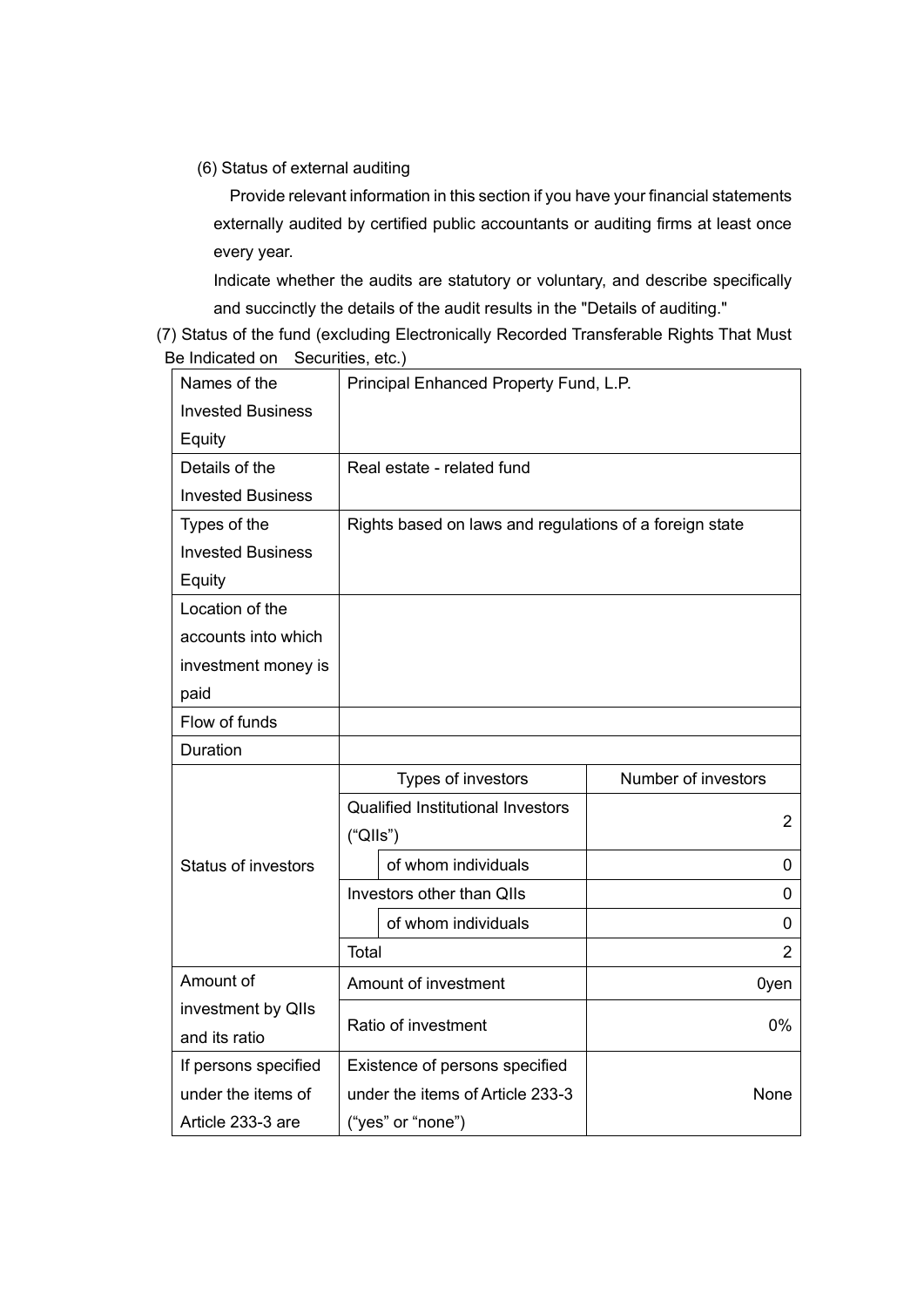(6) Status of external auditing

Provide relevant information in this section if you have your financial statements externally audited by certified public accountants or auditing firms at least once every year.

Indicate whether the audits are statutory or voluntary, and describe specifically and succinctly the details of the audit results in the "Details of auditing."

(7) Status of the fund (excluding Electronically Recorded Transferable Rights That Must Be Indicated on Securities, etc.)

| Names of the               | Principal Enhanced Property Fund, L.P.                  |                     |  |  |
|----------------------------|---------------------------------------------------------|---------------------|--|--|
| <b>Invested Business</b>   |                                                         |                     |  |  |
| Equity                     |                                                         |                     |  |  |
| Details of the             | Real estate - related fund                              |                     |  |  |
| <b>Invested Business</b>   |                                                         |                     |  |  |
| Types of the               | Rights based on laws and regulations of a foreign state |                     |  |  |
| <b>Invested Business</b>   |                                                         |                     |  |  |
| Equity                     |                                                         |                     |  |  |
| Location of the            |                                                         |                     |  |  |
| accounts into which        |                                                         |                     |  |  |
| investment money is        |                                                         |                     |  |  |
| paid                       |                                                         |                     |  |  |
| Flow of funds              |                                                         |                     |  |  |
| <b>Duration</b>            |                                                         |                     |  |  |
|                            | Types of investors                                      | Number of investors |  |  |
|                            | <b>Qualified Institutional Investors</b>                | $\overline{2}$      |  |  |
|                            | ("Qlls")                                                |                     |  |  |
| <b>Status of investors</b> | of whom individuals                                     | 0                   |  |  |
|                            | Investors other than QIIs                               | 0                   |  |  |
|                            | of whom individuals                                     | 0                   |  |  |
|                            | Total                                                   | $\overline{2}$      |  |  |
| Amount of                  | Amount of investment                                    | 0yen                |  |  |
| investment by QIIs         | Ratio of investment                                     | $0\%$               |  |  |
| and its ratio              |                                                         |                     |  |  |
| If persons specified       | Existence of persons specified                          |                     |  |  |
| under the items of         | under the items of Article 233-3                        | None                |  |  |
| Article 233-3 are          | ("yes" or "none")                                       |                     |  |  |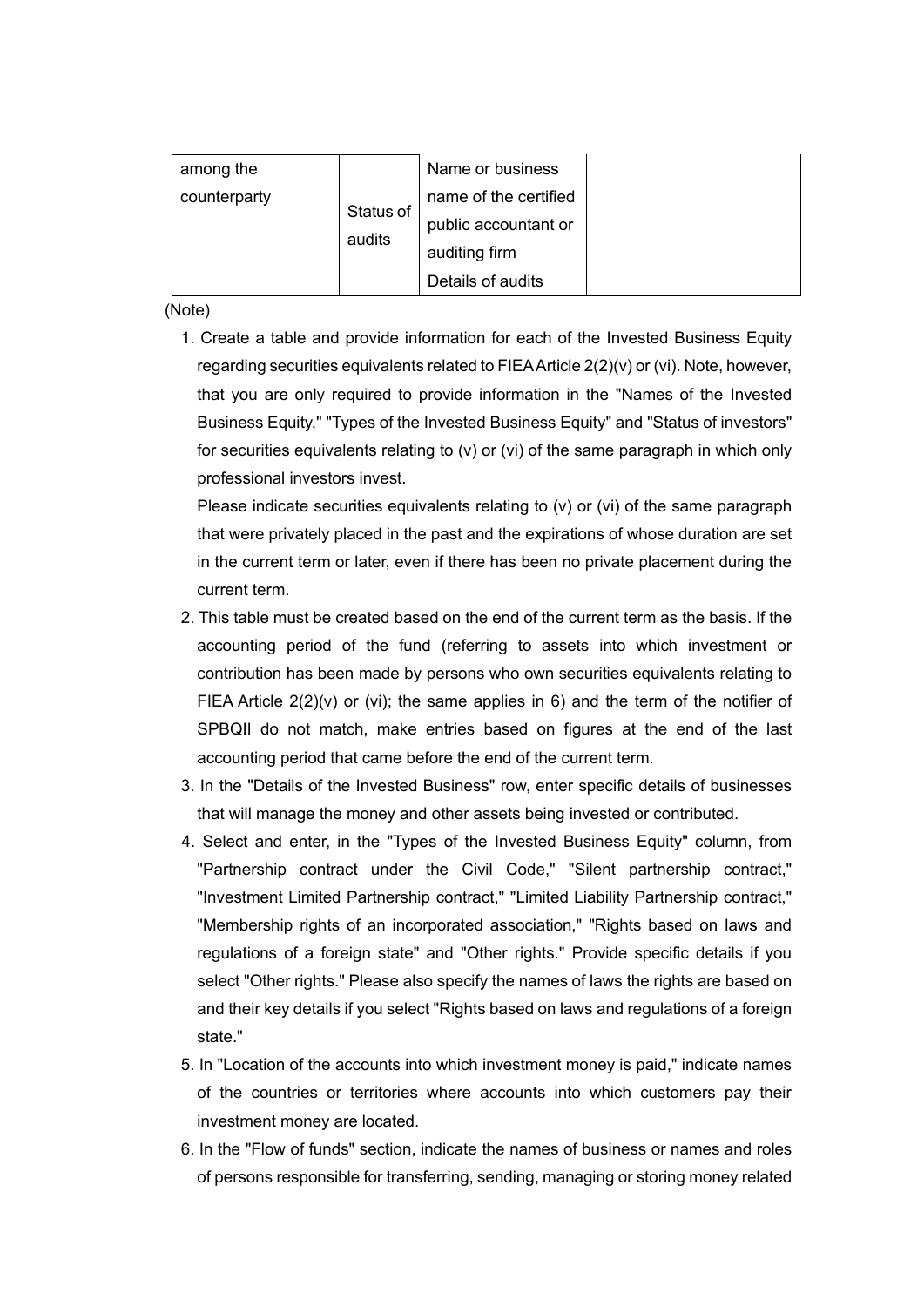| among the<br>counterparty | Status of<br>audits | Name or business<br>name of the certified<br>public accountant or<br>auditing firm |  |
|---------------------------|---------------------|------------------------------------------------------------------------------------|--|
|                           |                     | Details of audits                                                                  |  |

(Note)

1. Create a table and provide information for each of the Invested Business Equity regarding securities equivalents related to FIEA Article 2(2)(v) or (vi). Note, however, that you are only required to provide information in the "Names of the Invested Business Equity," "Types of the Invested Business Equity" and "Status of investors" for securities equivalents relating to (v) or (vi) of the same paragraph in which only professional investors invest.

 Please indicate securities equivalents relating to (v) or (vi) of the same paragraph that were privately placed in the past and the expirations of whose duration are set in the current term or later, even if there has been no private placement during the current term.

- 2. This table must be created based on the end of the current term as the basis. If the accounting period of the fund (referring to assets into which investment or contribution has been made by persons who own securities equivalents relating to FIEA Article  $2(2)(v)$  or (vi); the same applies in 6) and the term of the notifier of SPBQII do not match, make entries based on figures at the end of the last accounting period that came before the end of the current term.
- 3. In the "Details of the Invested Business" row, enter specific details of businesses that will manage the money and other assets being invested or contributed.
- 4. Select and enter, in the "Types of the Invested Business Equity" column, from "Partnership contract under the Civil Code," "Silent partnership contract," "Investment Limited Partnership contract," "Limited Liability Partnership contract," "Membership rights of an incorporated association," "Rights based on laws and regulations of a foreign state" and "Other rights." Provide specific details if you select "Other rights." Please also specify the names of laws the rights are based on and their key details if you select "Rights based on laws and regulations of a foreign state."
- 5. In "Location of the accounts into which investment money is paid," indicate names of the countries or territories where accounts into which customers pay their investment money are located.
- 6. In the "Flow of funds" section, indicate the names of business or names and roles of persons responsible for transferring, sending, managing or storing money related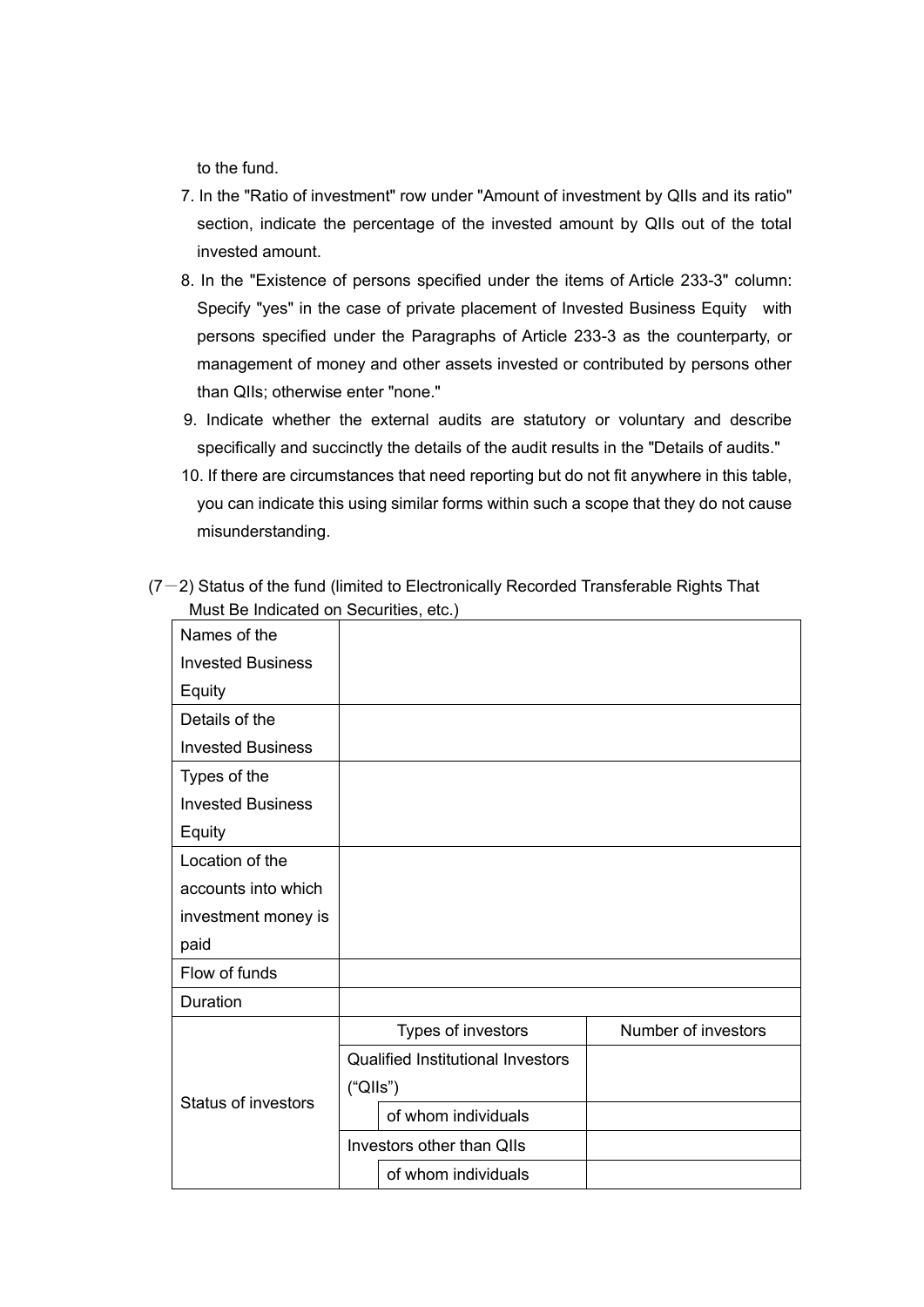to the fund.

- 7. In the "Ratio of investment" row under "Amount of investment by QIIs and its ratio" section, indicate the percentage of the invested amount by QIIs out of the total invested amount.
- 8. In the "Existence of persons specified under the items of Article 233-3" column: Specify "yes" in the case of private placement of Invested Business Equity with persons specified under the Paragraphs of Article 233-3 as the counterparty, or management of money and other assets invested or contributed by persons other than QIIs; otherwise enter "none."
- 9. Indicate whether the external audits are statutory or voluntary and describe specifically and succinctly the details of the audit results in the "Details of audits."
- 10. If there are circumstances that need reporting but do not fit anywhere in this table, you can indicate this using similar forms within such a scope that they do not cause misunderstanding.

| Names of the               |                                          |                     |
|----------------------------|------------------------------------------|---------------------|
| <b>Invested Business</b>   |                                          |                     |
| Equity                     |                                          |                     |
| Details of the             |                                          |                     |
| <b>Invested Business</b>   |                                          |                     |
| Types of the               |                                          |                     |
| <b>Invested Business</b>   |                                          |                     |
| Equity                     |                                          |                     |
| Location of the            |                                          |                     |
| accounts into which        |                                          |                     |
| investment money is        |                                          |                     |
| paid                       |                                          |                     |
| Flow of funds              |                                          |                     |
| Duration                   |                                          |                     |
|                            | Types of investors                       | Number of investors |
|                            | <b>Qualified Institutional Investors</b> |                     |
| <b>Status of investors</b> | ("Qlls")                                 |                     |
|                            | of whom individuals                      |                     |
|                            | Investors other than QIIs                |                     |
|                            | of whom individuals                      |                     |

 $(7-2)$  Status of the fund (limited to Electronically Recorded Transferable Rights That Must Be Indicated on Securities, etc.)